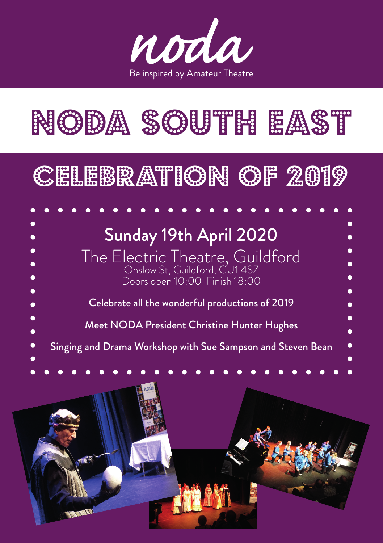

# NODA SOUTH EAST

# CELEBRATION OF 2019